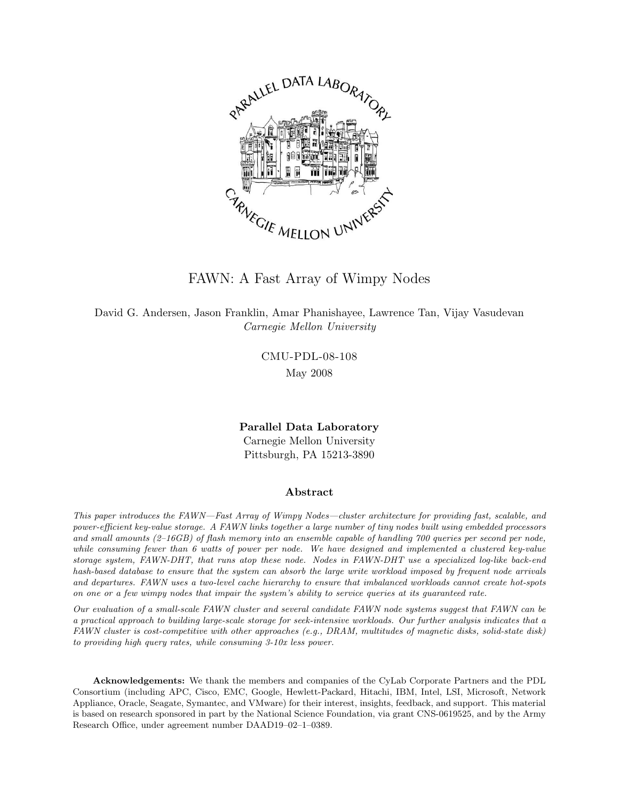

FAWN: A Fast Array of Wimpy Nodes

David G. Andersen, Jason Franklin, Amar Phanishayee, Lawrence Tan, Vijay Vasudevan Carnegie Mellon University

> CMU-PDL-08-108 May 2008

Parallel Data Laboratory Carnegie Mellon University Pittsburgh, PA 15213-3890

#### Abstract

This paper introduces the FAWN—Fast Array of Wimpy Nodes—cluster architecture for providing fast, scalable, and power-efficient key-value storage. A FAWN links together a large number of tiny nodes built using embedded processors and small amounts (2-16GB) of flash memory into an ensemble capable of handling 700 queries per second per node, while consuming fewer than 6 watts of power per node. We have designed and implemented a clustered key-value storage system, FAWN-DHT, that runs atop these node. Nodes in FAWN-DHT use a specialized log-like back-end hash-based database to ensure that the system can absorb the large write workload imposed by frequent node arrivals and departures. FAWN uses a two-level cache hierarchy to ensure that imbalanced workloads cannot create hot-spots on one or a few wimpy nodes that impair the system's ability to service queries at its guaranteed rate.

Our evaluation of a small-scale FAWN cluster and several candidate FAWN node systems suggest that FAWN can be a practical approach to building large-scale storage for seek-intensive workloads. Our further analysis indicates that a FAWN cluster is cost-competitive with other approaches (e.g., DRAM, multitudes of magnetic disks, solid-state disk) to providing high query rates, while consuming 3-10x less power.

Acknowledgements: We thank the members and companies of the CyLab Corporate Partners and the PDL Consortium (including APC, Cisco, EMC, Google, Hewlett-Packard, Hitachi, IBM, Intel, LSI, Microsoft, Network Appliance, Oracle, Seagate, Symantec, and VMware) for their interest, insights, feedback, and support. This material is based on research sponsored in part by the National Science Foundation, via grant CNS-0619525, and by the Army Research Office, under agreement number DAAD19–02–1–0389.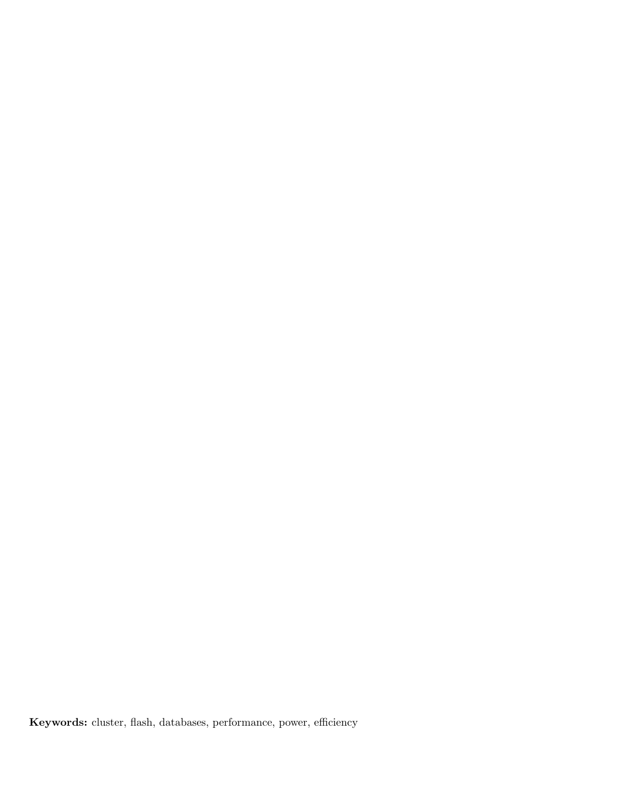Keywords: cluster, flash, databases, performance, power, efficiency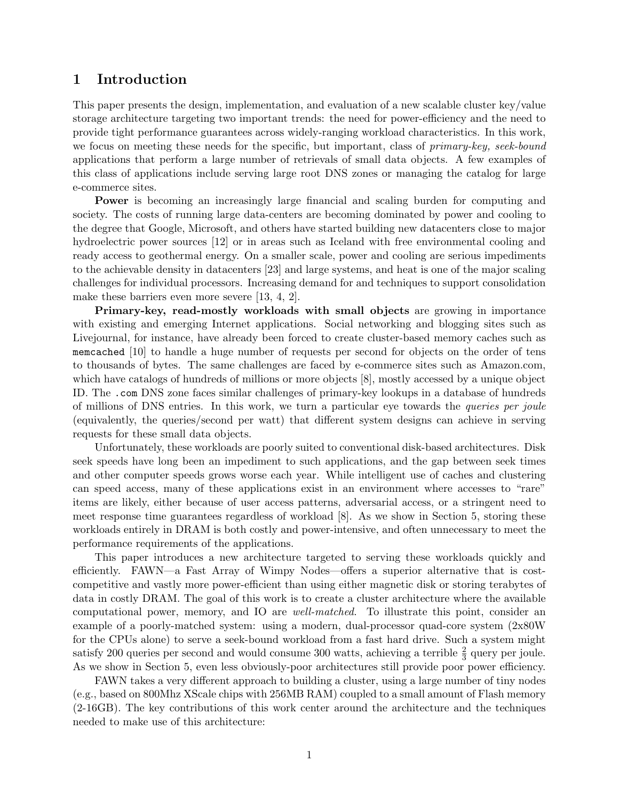### 1 Introduction

This paper presents the design, implementation, and evaluation of a new scalable cluster key/value storage architecture targeting two important trends: the need for power-efficiency and the need to provide tight performance guarantees across widely-ranging workload characteristics. In this work, we focus on meeting these needs for the specific, but important, class of *primary-key, seek-bound* applications that perform a large number of retrievals of small data objects. A few examples of this class of applications include serving large root DNS zones or managing the catalog for large e-commerce sites.

Power is becoming an increasingly large financial and scaling burden for computing and society. The costs of running large data-centers are becoming dominated by power and cooling to the degree that Google, Microsoft, and others have started building new datacenters close to major hydroelectric power sources [\[12\]](#page-21-0) or in areas such as Iceland with free environmental cooling and ready access to geothermal energy. On a smaller scale, power and cooling are serious impediments to the achievable density in datacenters [\[23\]](#page-21-1) and large systems, and heat is one of the major scaling challenges for individual processors. Increasing demand for and techniques to support consolidation make these barriers even more severe [\[13,](#page-21-2) [4,](#page-21-3) [2\]](#page-20-0).

Primary-key, read-mostly workloads with small objects are growing in importance with existing and emerging Internet applications. Social networking and blogging sites such as Livejournal, for instance, have already been forced to create cluster-based memory caches such as memcached [\[10\]](#page-21-4) to handle a huge number of requests per second for objects on the order of tens to thousands of bytes. The same challenges are faced by e-commerce sites such as Amazon.com, which have catalogs of hundreds of millions or more objects [\[8\]](#page-21-5), mostly accessed by a unique object ID. The .com DNS zone faces similar challenges of primary-key lookups in a database of hundreds of millions of DNS entries. In this work, we turn a particular eye towards the queries per joule (equivalently, the queries/second per watt) that different system designs can achieve in serving requests for these small data objects.

Unfortunately, these workloads are poorly suited to conventional disk-based architectures. Disk seek speeds have long been an impediment to such applications, and the gap between seek times and other computer speeds grows worse each year. While intelligent use of caches and clustering can speed access, many of these applications exist in an environment where accesses to "rare" items are likely, either because of user access patterns, adversarial access, or a stringent need to meet response time guarantees regardless of workload [\[8\]](#page-21-5). As we show in Section [5,](#page-12-0) storing these workloads entirely in DRAM is both costly and power-intensive, and often unnecessary to meet the performance requirements of the applications.

This paper introduces a new architecture targeted to serving these workloads quickly and efficiently. FAWN—a Fast Array of Wimpy Nodes—offers a superior alternative that is costcompetitive and vastly more power-efficient than using either magnetic disk or storing terabytes of data in costly DRAM. The goal of this work is to create a cluster architecture where the available computational power, memory, and IO are well-matched. To illustrate this point, consider an example of a poorly-matched system: using a modern, dual-processor quad-core system (2x80W for the CPUs alone) to serve a seek-bound workload from a fast hard drive. Such a system might satisfy 200 queries per second and would consume 300 watts, achieving a terrible  $\frac{2}{3}$  query per joule. As we show in Section [5,](#page-12-0) even less obviously-poor architectures still provide poor power efficiency.

FAWN takes a very different approach to building a cluster, using a large number of tiny nodes (e.g., based on 800Mhz XScale chips with 256MB RAM) coupled to a small amount of Flash memory (2-16GB). The key contributions of this work center around the architecture and the techniques needed to make use of this architecture: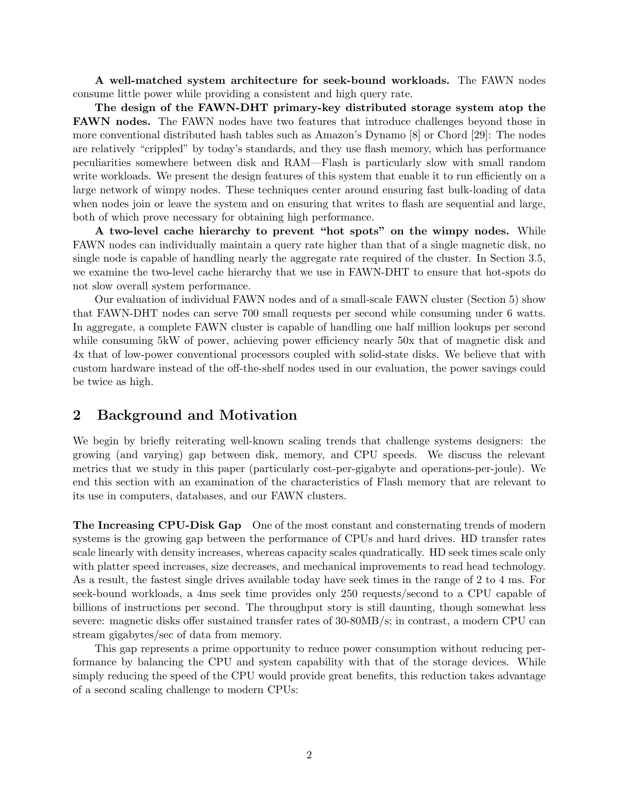A well-matched system architecture for seek-bound workloads. The FAWN nodes consume little power while providing a consistent and high query rate.

The design of the FAWN-DHT primary-key distributed storage system atop the FAWN nodes. The FAWN nodes have two features that introduce challenges beyond those in more conventional distributed hash tables such as Amazon's Dynamo [\[8\]](#page-21-5) or Chord [\[29\]](#page-22-0): The nodes are relatively "crippled" by today's standards, and they use flash memory, which has performance peculiarities somewhere between disk and RAM—Flash is particularly slow with small random write workloads. We present the design features of this system that enable it to run efficiently on a large network of wimpy nodes. These techniques center around ensuring fast bulk-loading of data when nodes join or leave the system and on ensuring that writes to flash are sequential and large, both of which prove necessary for obtaining high performance.

A two-level cache hierarchy to prevent "hot spots" on the wimpy nodes. While FAWN nodes can individually maintain a query rate higher than that of a single magnetic disk, no single node is capable of handling nearly the aggregate rate required of the cluster. In Section [3.5,](#page-10-0) we examine the two-level cache hierarchy that we use in FAWN-DHT to ensure that hot-spots do not slow overall system performance.

Our evaluation of individual FAWN nodes and of a small-scale FAWN cluster (Section [5\)](#page-12-0) show that FAWN-DHT nodes can serve 700 small requests per second while consuming under 6 watts. In aggregate, a complete FAWN cluster is capable of handling one half million lookups per second while consuming 5kW of power, achieving power efficiency nearly 50x that of magnetic disk and 4x that of low-power conventional processors coupled with solid-state disks. We believe that with custom hardware instead of the off-the-shelf nodes used in our evaluation, the power savings could be twice as high.

### <span id="page-3-0"></span>2 Background and Motivation

We begin by briefly reiterating well-known scaling trends that challenge systems designers: the growing (and varying) gap between disk, memory, and CPU speeds. We discuss the relevant metrics that we study in this paper (particularly cost-per-gigabyte and operations-per-joule). We end this section with an examination of the characteristics of Flash memory that are relevant to its use in computers, databases, and our FAWN clusters.

The Increasing CPU-Disk Gap One of the most constant and consternating trends of modern systems is the growing gap between the performance of CPUs and hard drives. HD transfer rates scale linearly with density increases, whereas capacity scales quadratically. HD seek times scale only with platter speed increases, size decreases, and mechanical improvements to read head technology. As a result, the fastest single drives available today have seek times in the range of 2 to 4 ms. For seek-bound workloads, a 4ms seek time provides only 250 requests/second to a CPU capable of billions of instructions per second. The throughput story is still daunting, though somewhat less severe: magnetic disks offer sustained transfer rates of 30-80MB/s; in contrast, a modern CPU can stream gigabytes/sec of data from memory.

This gap represents a prime opportunity to reduce power consumption without reducing performance by balancing the CPU and system capability with that of the storage devices. While simply reducing the speed of the CPU would provide great benefits, this reduction takes advantage of a second scaling challenge to modern CPUs: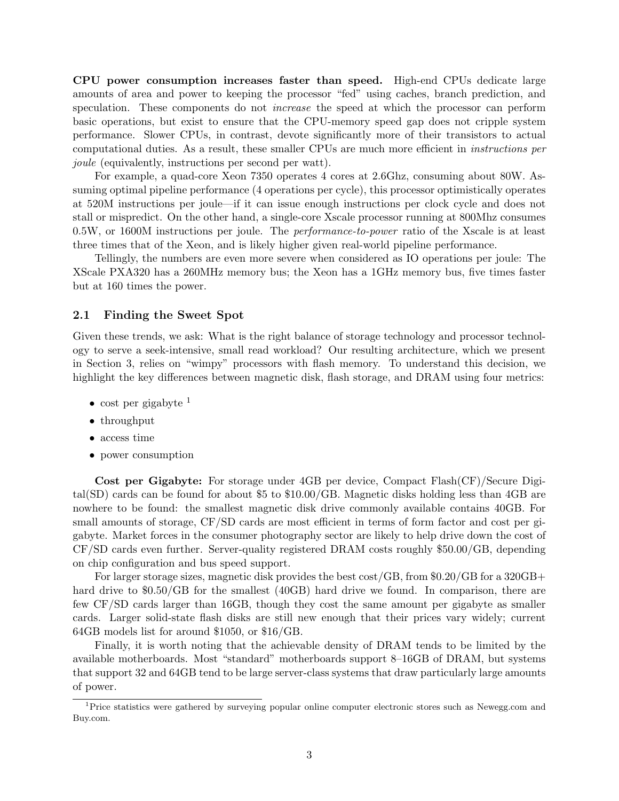CPU power consumption increases faster than speed. High-end CPUs dedicate large amounts of area and power to keeping the processor "fed" using caches, branch prediction, and speculation. These components do not *increase* the speed at which the processor can perform basic operations, but exist to ensure that the CPU-memory speed gap does not cripple system performance. Slower CPUs, in contrast, devote significantly more of their transistors to actual computational duties. As a result, these smaller CPUs are much more efficient in instructions per joule (equivalently, instructions per second per watt).

For example, a quad-core Xeon 7350 operates 4 cores at 2.6Ghz, consuming about 80W. Assuming optimal pipeline performance (4 operations per cycle), this processor optimistically operates at 520M instructions per joule—if it can issue enough instructions per clock cycle and does not stall or mispredict. On the other hand, a single-core Xscale processor running at 800Mhz consumes 0.5W, or 1600M instructions per joule. The performance-to-power ratio of the Xscale is at least three times that of the Xeon, and is likely higher given real-world pipeline performance.

Tellingly, the numbers are even more severe when considered as IO operations per joule: The XScale PXA320 has a 260MHz memory bus; the Xeon has a 1GHz memory bus, five times faster but at 160 times the power.

#### 2.1 Finding the Sweet Spot

Given these trends, we ask: What is the right balance of storage technology and processor technology to serve a seek-intensive, small read workload? Our resulting architecture, which we present in Section [3,](#page-6-0) relies on "wimpy" processors with flash memory. To understand this decision, we highlight the key differences between magnetic disk, flash storage, and DRAM using four metrics:

- cost per gigabyte  $<sup>1</sup>$  $<sup>1</sup>$  $<sup>1</sup>$ </sup>
- throughput
- access time
- power consumption

Cost per Gigabyte: For storage under 4GB per device, Compact Flash(CF)/Secure Digital(SD) cards can be found for about \$5 to \$10.00/GB. Magnetic disks holding less than 4GB are nowhere to be found: the smallest magnetic disk drive commonly available contains 40GB. For small amounts of storage, CF/SD cards are most efficient in terms of form factor and cost per gigabyte. Market forces in the consumer photography sector are likely to help drive down the cost of CF/SD cards even further. Server-quality registered DRAM costs roughly \$50.00/GB, depending on chip configuration and bus speed support.

For larger storage sizes, magnetic disk provides the best cost/GB, from \$0.20/GB for a 320GB+ hard drive to \$0.50/GB for the smallest (40GB) hard drive we found. In comparison, there are few CF/SD cards larger than 16GB, though they cost the same amount per gigabyte as smaller cards. Larger solid-state flash disks are still new enough that their prices vary widely; current 64GB models list for around \$1050, or \$16/GB.

Finally, it is worth noting that the achievable density of DRAM tends to be limited by the available motherboards. Most "standard" motherboards support 8–16GB of DRAM, but systems that support 32 and 64GB tend to be large server-class systems that draw particularly large amounts of power.

<span id="page-4-0"></span><sup>1</sup>Price statistics were gathered by surveying popular online computer electronic stores such as Newegg.com and Buy.com.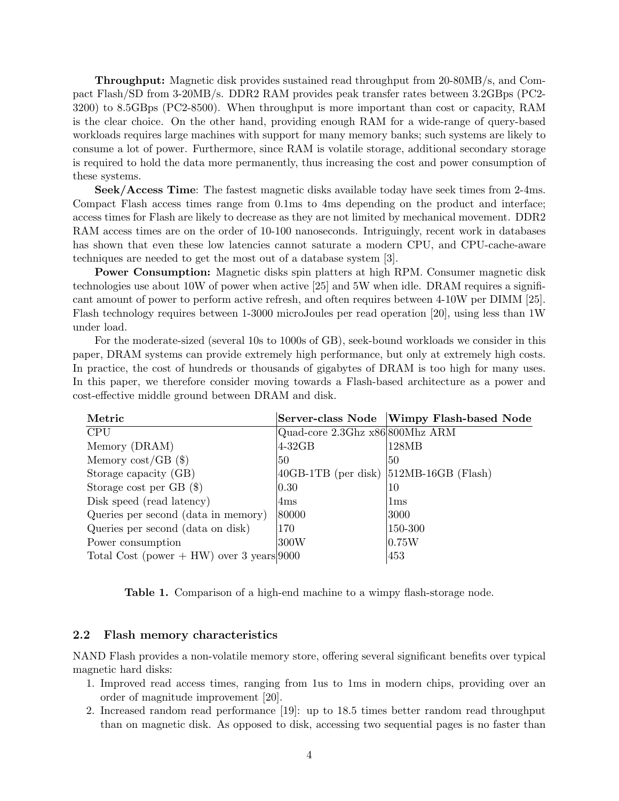Throughput: Magnetic disk provides sustained read throughput from 20-80MB/s, and Compact Flash/SD from 3-20MB/s. DDR2 RAM provides peak transfer rates between 3.2GBps (PC2- 3200) to 8.5GBps (PC2-8500). When throughput is more important than cost or capacity, RAM is the clear choice. On the other hand, providing enough RAM for a wide-range of query-based workloads requires large machines with support for many memory banks; such systems are likely to consume a lot of power. Furthermore, since RAM is volatile storage, additional secondary storage is required to hold the data more permanently, thus increasing the cost and power consumption of these systems.

Seek/Access Time: The fastest magnetic disks available today have seek times from 2-4ms. Compact Flash access times range from 0.1ms to 4ms depending on the product and interface; access times for Flash are likely to decrease as they are not limited by mechanical movement. DDR2 RAM access times are on the order of 10-100 nanoseconds. Intriguingly, recent work in databases has shown that even these low latencies cannot saturate a modern CPU, and CPU-cache-aware techniques are needed to get the most out of a database system [\[3\]](#page-20-1).

Power Consumption: Magnetic disks spin platters at high RPM. Consumer magnetic disk technologies use about 10W of power when active [\[25\]](#page-21-6) and 5W when idle. DRAM requires a significant amount of power to perform active refresh, and often requires between 4-10W per DIMM [\[25\]](#page-21-6). Flash technology requires between 1-3000 microJoules per read operation [\[20\]](#page-21-7), using less than 1W under load.

For the moderate-sized (several 10s to 1000s of GB), seek-bound workloads we consider in this paper, DRAM systems can provide extremely high performance, but only at extremely high costs. In practice, the cost of hundreds or thousands of gigabytes of DRAM is too high for many uses. In this paper, we therefore consider moving towards a Flash-based architecture as a power and cost-effective middle ground between DRAM and disk.

| Metric                                       |                                              | Server-class Node Wimpy Flash-based Node |
|----------------------------------------------|----------------------------------------------|------------------------------------------|
| <b>CPU</b>                                   | Quad-core 2.3Ghz x86 800Mhz ARM              |                                          |
| Memory (DRAM)                                | 4-32GB                                       | 128MB                                    |
| Memory $cost/GB$ (\$)                        | 50                                           | 50                                       |
| Storage capacity (GB)                        | $ 40GB-1TB$ (per disk) $ 512MB-16GB$ (Flash) |                                          |
| Storage cost per $GB$ (\$)                   | $ 0.30\rangle$                               | 10                                       |
| Disk speed (read latency)                    | 4ms                                          | 1ms                                      |
| Queries per second (data in memory)          | 80000                                        | 3000                                     |
| Queries per second (data on disk)            | 170                                          | 150-300                                  |
| Power consumption                            | 300W                                         | 0.75W                                    |
| Total Cost (power $+ HW$ ) over 3 years 9000 |                                              | 453                                      |

<span id="page-5-0"></span>Table 1. Comparison of a high-end machine to a wimpy flash-storage node.

#### 2.2 Flash memory characteristics

NAND Flash provides a non-volatile memory store, offering several significant benefits over typical magnetic hard disks:

- 1. Improved read access times, ranging from 1us to 1ms in modern chips, providing over an order of magnitude improvement [\[20\]](#page-21-7).
- 2. Increased random read performance [\[19\]](#page-21-8): up to 18.5 times better random read throughput than on magnetic disk. As opposed to disk, accessing two sequential pages is no faster than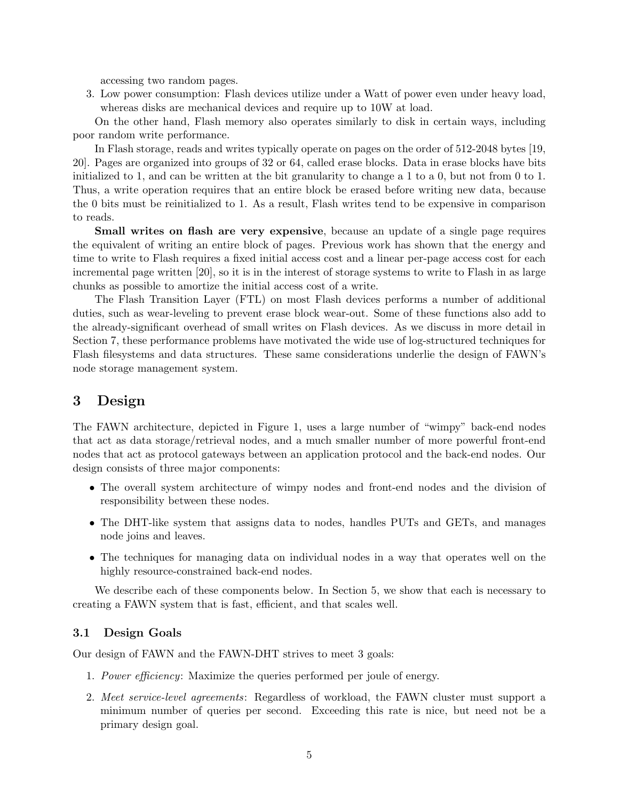accessing two random pages.

3. Low power consumption: Flash devices utilize under a Watt of power even under heavy load, whereas disks are mechanical devices and require up to 10W at load.

On the other hand, Flash memory also operates similarly to disk in certain ways, including poor random write performance.

In Flash storage, reads and writes typically operate on pages on the order of 512-2048 bytes [\[19,](#page-21-8) [20\]](#page-21-7). Pages are organized into groups of 32 or 64, called erase blocks. Data in erase blocks have bits initialized to 1, and can be written at the bit granularity to change a 1 to a 0, but not from 0 to 1. Thus, a write operation requires that an entire block be erased before writing new data, because the 0 bits must be reinitialized to 1. As a result, Flash writes tend to be expensive in comparison to reads.

Small writes on flash are very expensive, because an update of a single page requires the equivalent of writing an entire block of pages. Previous work has shown that the energy and time to write to Flash requires a fixed initial access cost and a linear per-page access cost for each incremental page written [\[20\]](#page-21-7), so it is in the interest of storage systems to write to Flash in as large chunks as possible to amortize the initial access cost of a write.

The Flash Transition Layer (FTL) on most Flash devices performs a number of additional duties, such as wear-leveling to prevent erase block wear-out. Some of these functions also add to the already-significant overhead of small writes on Flash devices. As we discuss in more detail in Section [7,](#page-18-0) these performance problems have motivated the wide use of log-structured techniques for Flash filesystems and data structures. These same considerations underlie the design of FAWN's node storage management system.

# <span id="page-6-0"></span>3 Design

The FAWN architecture, depicted in Figure [1,](#page-7-0) uses a large number of "wimpy" back-end nodes that act as data storage/retrieval nodes, and a much smaller number of more powerful front-end nodes that act as protocol gateways between an application protocol and the back-end nodes. Our design consists of three major components:

- The overall system architecture of wimpy nodes and front-end nodes and the division of responsibility between these nodes.
- The DHT-like system that assigns data to nodes, handles PUTs and GETs, and manages node joins and leaves.
- The techniques for managing data on individual nodes in a way that operates well on the highly resource-constrained back-end nodes.

We describe each of these components below. In Section [5,](#page-12-0) we show that each is necessary to creating a FAWN system that is fast, efficient, and that scales well.

#### 3.1 Design Goals

Our design of FAWN and the FAWN-DHT strives to meet 3 goals:

- 1. Power efficiency: Maximize the queries performed per joule of energy.
- 2. Meet service-level agreements: Regardless of workload, the FAWN cluster must support a minimum number of queries per second. Exceeding this rate is nice, but need not be a primary design goal.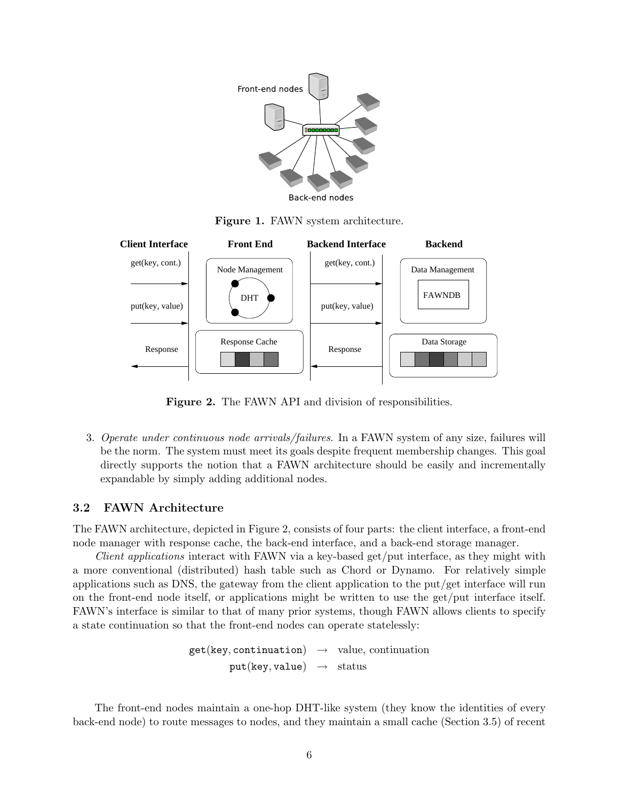

<span id="page-7-0"></span>Figure 1. FAWN system architecture.



<span id="page-7-1"></span>Figure 2. The FAWN API and division of responsibilities.

3. Operate under continuous node arrivals/failures. In a FAWN system of any size, failures will be the norm. The system must meet its goals despite frequent membership changes. This goal directly supports the notion that a FAWN architecture should be easily and incrementally expandable by simply adding additional nodes.

### 3.2 FAWN Architecture

The FAWN architecture, depicted in Figure [2,](#page-7-1) consists of four parts: the client interface, a front-end node manager with response cache, the back-end interface, and a back-end storage manager.

Client applications interact with FAWN via a key-based get/put interface, as they might with a more conventional (distributed) hash table such as Chord or Dynamo. For relatively simple applications such as DNS, the gateway from the client application to the put/get interface will run on the front-end node itself, or applications might be written to use the get/put interface itself. FAWN's interface is similar to that of many prior systems, though FAWN allows clients to specify a state continuation so that the front-end nodes can operate statelessly:

> $get(key, continuation) \rightarrow value, continuation$  $put(key, value) \rightarrow status$

The front-end nodes maintain a one-hop DHT-like system (they know the identities of every back-end node) to route messages to nodes, and they maintain a small cache (Section [3.5\)](#page-10-0) of recent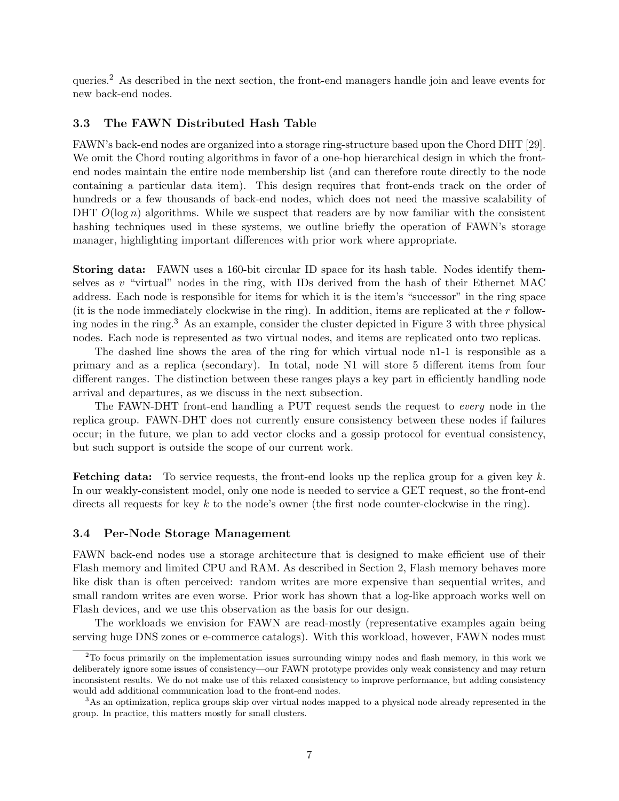queries.[2](#page-8-0) As described in the next section, the front-end managers handle join and leave events for new back-end nodes.

#### 3.3 The FAWN Distributed Hash Table

FAWN's back-end nodes are organized into a storage ring-structure based upon the Chord DHT [\[29\]](#page-22-0). We omit the Chord routing algorithms in favor of a one-hop hierarchical design in which the frontend nodes maintain the entire node membership list (and can therefore route directly to the node containing a particular data item). This design requires that front-ends track on the order of hundreds or a few thousands of back-end nodes, which does not need the massive scalability of DHT  $O(\log n)$  algorithms. While we suspect that readers are by now familiar with the consistent hashing techniques used in these systems, we outline briefly the operation of FAWN's storage manager, highlighting important differences with prior work where appropriate.

Storing data: FAWN uses a 160-bit circular ID space for its hash table. Nodes identify themselves as  $v$  "virtual" nodes in the ring, with IDs derived from the hash of their Ethernet MAC address. Each node is responsible for items for which it is the item's "successor" in the ring space (it is the node immediately clockwise in the ring). In addition, items are replicated at the  $r$  following nodes in the ring.[3](#page-8-1) As an example, consider the cluster depicted in Figure [3](#page-9-0) with three physical nodes. Each node is represented as two virtual nodes, and items are replicated onto two replicas.

The dashed line shows the area of the ring for which virtual node n1-1 is responsible as a primary and as a replica (secondary). In total, node N1 will store 5 different items from four different ranges. The distinction between these ranges plays a key part in efficiently handling node arrival and departures, as we discuss in the next subsection.

The FAWN-DHT front-end handling a PUT request sends the request to every node in the replica group. FAWN-DHT does not currently ensure consistency between these nodes if failures occur; in the future, we plan to add vector clocks and a gossip protocol for eventual consistency, but such support is outside the scope of our current work.

**Fetching data:** To service requests, the front-end looks up the replica group for a given key  $k$ . In our weakly-consistent model, only one node is needed to service a GET request, so the front-end directs all requests for key  $k$  to the node's owner (the first node counter-clockwise in the ring).

#### <span id="page-8-2"></span>3.4 Per-Node Storage Management

FAWN back-end nodes use a storage architecture that is designed to make efficient use of their Flash memory and limited CPU and RAM. As described in Section [2,](#page-3-0) Flash memory behaves more like disk than is often perceived: random writes are more expensive than sequential writes, and small random writes are even worse. Prior work has shown that a log-like approach works well on Flash devices, and we use this observation as the basis for our design.

The workloads we envision for FAWN are read-mostly (representative examples again being serving huge DNS zones or e-commerce catalogs). With this workload, however, FAWN nodes must

<span id="page-8-0"></span><sup>&</sup>lt;sup>2</sup>To focus primarily on the implementation issues surrounding wimpy nodes and flash memory, in this work we deliberately ignore some issues of consistency—our FAWN prototype provides only weak consistency and may return inconsistent results. We do not make use of this relaxed consistency to improve performance, but adding consistency would add additional communication load to the front-end nodes.

<span id="page-8-1"></span><sup>&</sup>lt;sup>3</sup>As an optimization, replica groups skip over virtual nodes mapped to a physical node already represented in the group. In practice, this matters mostly for small clusters.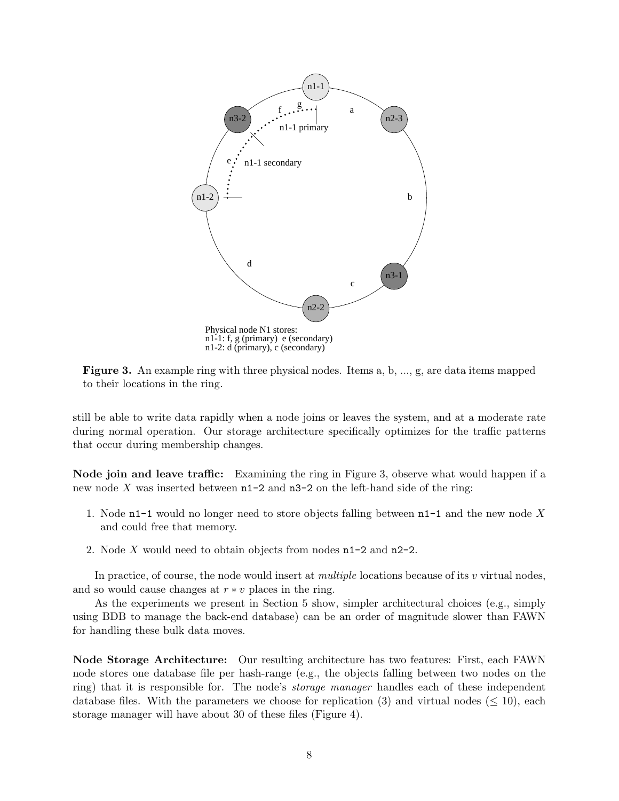

<span id="page-9-0"></span>Figure 3. An example ring with three physical nodes. Items a, b, ..., g, are data items mapped to their locations in the ring.

still be able to write data rapidly when a node joins or leaves the system, and at a moderate rate during normal operation. Our storage architecture specifically optimizes for the traffic patterns that occur during membership changes.

Node join and leave traffic: Examining the ring in Figure [3,](#page-9-0) observe what would happen if a new node X was inserted between  $n1-2$  and  $n3-2$  on the left-hand side of the ring:

- 1. Node n1-1 would no longer need to store objects falling between  $n-1$  and the new node X and could free that memory.
- 2. Node X would need to obtain objects from nodes n1-2 and n2-2.

In practice, of course, the node would insert at *multiple* locations because of its  $v$  virtual nodes, and so would cause changes at  $r * v$  places in the ring.

As the experiments we present in Section [5](#page-12-0) show, simpler architectural choices (e.g., simply using BDB to manage the back-end database) can be an order of magnitude slower than FAWN for handling these bulk data moves.

Node Storage Architecture: Our resulting architecture has two features: First, each FAWN node stores one database file per hash-range (e.g., the objects falling between two nodes on the ring) that it is responsible for. The node's storage manager handles each of these independent database files. With the parameters we choose for replication (3) and virtual nodes ( $\leq 10$ ), each storage manager will have about 30 of these files (Figure [4\)](#page-10-1).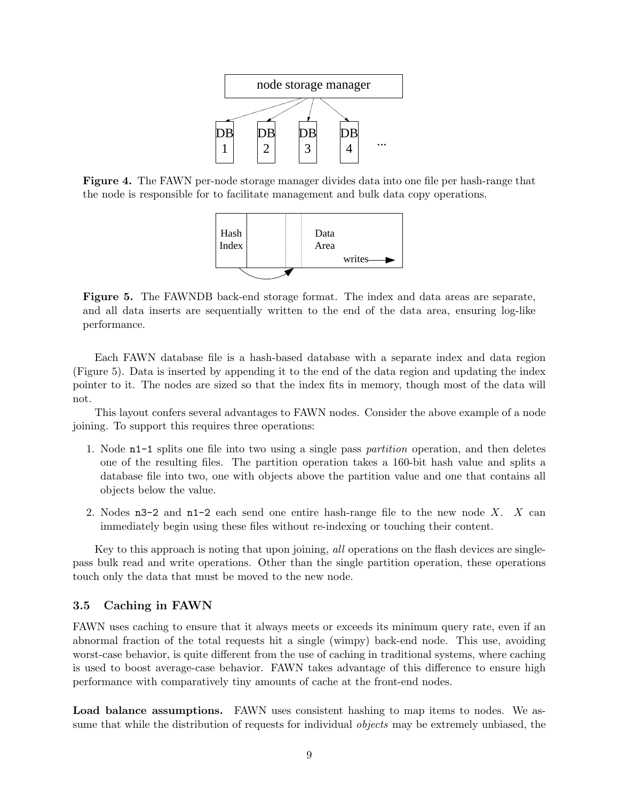

<span id="page-10-1"></span>Figure 4. The FAWN per-node storage manager divides data into one file per hash-range that the node is responsible for to facilitate management and bulk data copy operations.



<span id="page-10-2"></span>Figure 5. The FAWNDB back-end storage format. The index and data areas are separate, and all data inserts are sequentially written to the end of the data area, ensuring log-like performance.

Each FAWN database file is a hash-based database with a separate index and data region (Figure [5\)](#page-10-2). Data is inserted by appending it to the end of the data region and updating the index pointer to it. The nodes are sized so that the index fits in memory, though most of the data will not.

This layout confers several advantages to FAWN nodes. Consider the above example of a node joining. To support this requires three operations:

- 1. Node n1-1 splits one file into two using a single pass partition operation, and then deletes one of the resulting files. The partition operation takes a 160-bit hash value and splits a database file into two, one with objects above the partition value and one that contains all objects below the value.
- 2. Nodes  $n3-2$  and  $n1-2$  each send one entire hash-range file to the new node X. X can immediately begin using these files without re-indexing or touching their content.

Key to this approach is noting that upon joining, all operations on the flash devices are singlepass bulk read and write operations. Other than the single partition operation, these operations touch only the data that must be moved to the new node.

#### <span id="page-10-0"></span>3.5 Caching in FAWN

FAWN uses caching to ensure that it always meets or exceeds its minimum query rate, even if an abnormal fraction of the total requests hit a single (wimpy) back-end node. This use, avoiding worst-case behavior, is quite different from the use of caching in traditional systems, where caching is used to boost average-case behavior. FAWN takes advantage of this difference to ensure high performance with comparatively tiny amounts of cache at the front-end nodes.

Load balance assumptions. FAWN uses consistent hashing to map items to nodes. We assume that while the distribution of requests for individual *objects* may be extremely unbiased, the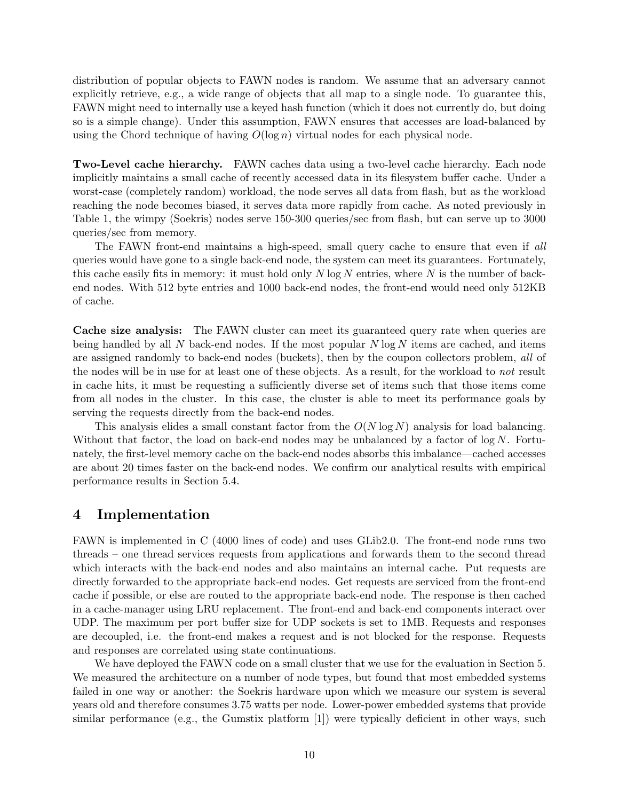distribution of popular objects to FAWN nodes is random. We assume that an adversary cannot explicitly retrieve, e.g., a wide range of objects that all map to a single node. To guarantee this, FAWN might need to internally use a keyed hash function (which it does not currently do, but doing so is a simple change). Under this assumption, FAWN ensures that accesses are load-balanced by using the Chord technique of having  $O(\log n)$  virtual nodes for each physical node.

Two-Level cache hierarchy. FAWN caches data using a two-level cache hierarchy. Each node implicitly maintains a small cache of recently accessed data in its filesystem buffer cache. Under a worst-case (completely random) workload, the node serves all data from flash, but as the workload reaching the node becomes biased, it serves data more rapidly from cache. As noted previously in Table [1,](#page-5-0) the wimpy (Soekris) nodes serve 150-300 queries/sec from flash, but can serve up to 3000 queries/sec from memory.

The FAWN front-end maintains a high-speed, small query cache to ensure that even if all queries would have gone to a single back-end node, the system can meet its guarantees. Fortunately, this cache easily fits in memory: it must hold only  $N \log N$  entries, where  $N$  is the number of backend nodes. With 512 byte entries and 1000 back-end nodes, the front-end would need only 512KB of cache.

Cache size analysis: The FAWN cluster can meet its guaranteed query rate when queries are being handled by all N back-end nodes. If the most popular  $N \log N$  items are cached, and items are assigned randomly to back-end nodes (buckets), then by the coupon collectors problem, all of the nodes will be in use for at least one of these objects. As a result, for the workload to not result in cache hits, it must be requesting a sufficiently diverse set of items such that those items come from all nodes in the cluster. In this case, the cluster is able to meet its performance goals by serving the requests directly from the back-end nodes.

This analysis elides a small constant factor from the  $O(N \log N)$  analysis for load balancing. Without that factor, the load on back-end nodes may be unbalanced by a factor of  $\log N$ . Fortunately, the first-level memory cache on the back-end nodes absorbs this imbalance—cached accesses are about 20 times faster on the back-end nodes. We confirm our analytical results with empirical performance results in Section [5.4.](#page-16-0)

### <span id="page-11-0"></span>4 Implementation

FAWN is implemented in C (4000 lines of code) and uses GLib2.0. The front-end node runs two threads – one thread services requests from applications and forwards them to the second thread which interacts with the back-end nodes and also maintains an internal cache. Put requests are directly forwarded to the appropriate back-end nodes. Get requests are serviced from the front-end cache if possible, or else are routed to the appropriate back-end node. The response is then cached in a cache-manager using LRU replacement. The front-end and back-end components interact over UDP. The maximum per port buffer size for UDP sockets is set to 1MB. Requests and responses are decoupled, i.e. the front-end makes a request and is not blocked for the response. Requests and responses are correlated using state continuations.

We have deployed the FAWN code on a small cluster that we use for the evaluation in Section [5.](#page-12-0) We measured the architecture on a number of node types, but found that most embedded systems failed in one way or another: the Soekris hardware upon which we measure our system is several years old and therefore consumes 3.75 watts per node. Lower-power embedded systems that provide similar performance (e.g., the Gumstix platform [\[1\]](#page-20-2)) were typically deficient in other ways, such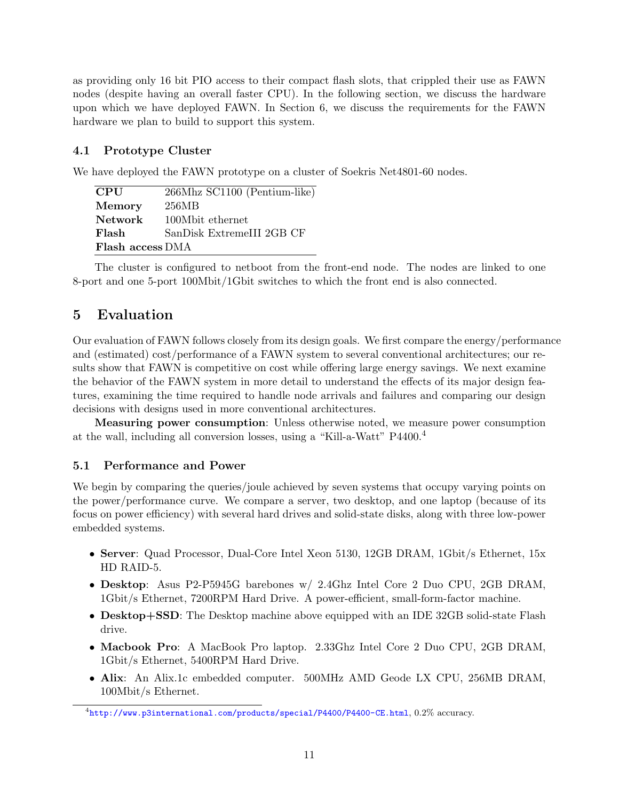as providing only 16 bit PIO access to their compact flash slots, that crippled their use as FAWN nodes (despite having an overall faster CPU). In the following section, we discuss the hardware upon which we have deployed FAWN. In Section [6,](#page-16-1) we discuss the requirements for the FAWN hardware we plan to build to support this system.

### 4.1 Prototype Cluster

We have deployed the FAWN prototype on a cluster of Soekris Net4801-60 nodes.

| <b>CPU</b>              | 266Mhz SC1100 (Pentium-like) |
|-------------------------|------------------------------|
| Memory                  | 256MB                        |
| <b>Network</b>          | 100Mbit ethernet             |
| Flash                   | SanDisk ExtremeIII 2GB CF    |
| <b>Flash access DMA</b> |                              |

The cluster is configured to netboot from the front-end node. The nodes are linked to one 8-port and one 5-port 100Mbit/1Gbit switches to which the front end is also connected.

# <span id="page-12-0"></span>5 Evaluation

Our evaluation of FAWN follows closely from its design goals. We first compare the energy/performance and (estimated) cost/performance of a FAWN system to several conventional architectures; our results show that FAWN is competitive on cost while offering large energy savings. We next examine the behavior of the FAWN system in more detail to understand the effects of its major design features, examining the time required to handle node arrivals and failures and comparing our design decisions with designs used in more conventional architectures.

Measuring power consumption: Unless otherwise noted, we measure power consumption at the wall, including all conversion losses, using a "Kill-a-Watt" P4400.[4](#page-12-1)

### 5.1 Performance and Power

We begin by comparing the queries/joule achieved by seven systems that occupy varying points on the power/performance curve. We compare a server, two desktop, and one laptop (because of its focus on power efficiency) with several hard drives and solid-state disks, along with three low-power embedded systems.

- Server: Quad Processor, Dual-Core Intel Xeon 5130, 12GB DRAM, 1Gbit/s Ethernet, 15x HD RAID-5.
- Desktop: Asus P2-P5945G barebones w/ 2.4Ghz Intel Core 2 Duo CPU, 2GB DRAM, 1Gbit/s Ethernet, 7200RPM Hard Drive. A power-efficient, small-form-factor machine.
- Desktop+SSD: The Desktop machine above equipped with an IDE 32GB solid-state Flash drive.
- Macbook Pro: A MacBook Pro laptop. 2.33Ghz Intel Core 2 Duo CPU, 2GB DRAM, 1Gbit/s Ethernet, 5400RPM Hard Drive.
- Alix: An Alix.1c embedded computer. 500MHz AMD Geode LX CPU, 256MB DRAM, 100Mbit/s Ethernet.

<span id="page-12-1"></span> ${}^{4}$ <http://www.p3international.com/products/special/P4400/P4400-CE.html>,  $0.2\%$  accuracy.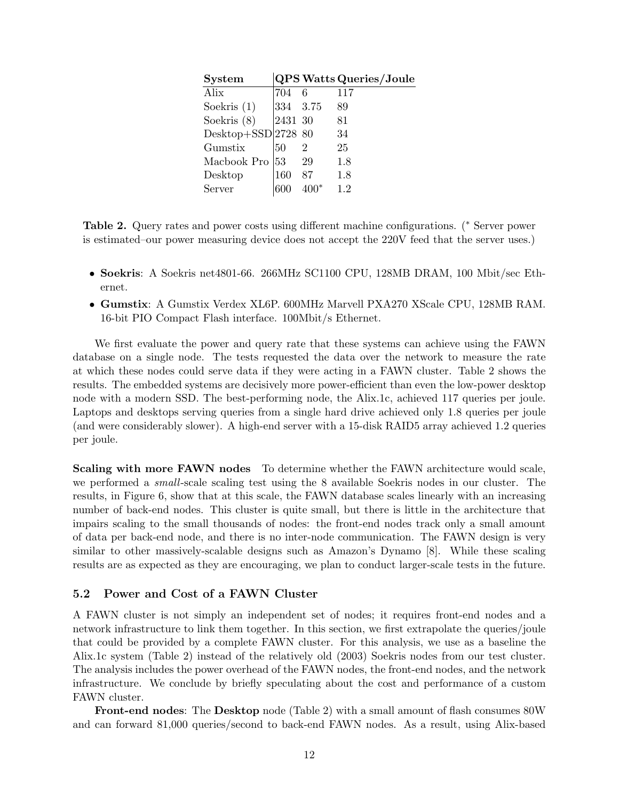| <b>System</b>       |          |    | <b>QPS Watts Queries/Joule</b> |
|---------------------|----------|----|--------------------------------|
| Alix                | 704      | 6  | 117                            |
| Soekris $(1)$       | 334 3.75 |    | 89                             |
| Soekris $(8)$       | 2431 30  |    | 81                             |
| Desktop+SSD 2728 80 |          |    | 34                             |
| Gumstix             | 50       | 2  | 25                             |
| Macbook Pro         | 53       | 29 | 1.8                            |
| Desktop             | 160      | 87 | 1.8                            |
| Server              |          |    | 1.2                            |
|                     |          |    |                                |

<span id="page-13-0"></span>Table 2. Query rates and power costs using different machine configurations. (<sup>∗</sup> Server power is estimated–our power measuring device does not accept the 220V feed that the server uses.)

- Soekris: A Soekris net4801-66. 266MHz SC1100 CPU, 128MB DRAM, 100 Mbit/sec Ethernet.
- Gumstix: A Gumstix Verdex XL6P. 600MHz Marvell PXA270 XScale CPU, 128MB RAM. 16-bit PIO Compact Flash interface. 100Mbit/s Ethernet.

We first evaluate the power and query rate that these systems can achieve using the FAWN database on a single node. The tests requested the data over the network to measure the rate at which these nodes could serve data if they were acting in a FAWN cluster. Table [2](#page-13-0) shows the results. The embedded systems are decisively more power-efficient than even the low-power desktop node with a modern SSD. The best-performing node, the Alix.1c, achieved 117 queries per joule. Laptops and desktops serving queries from a single hard drive achieved only 1.8 queries per joule (and were considerably slower). A high-end server with a 15-disk RAID5 array achieved 1.2 queries per joule.

Scaling with more FAWN nodes To determine whether the FAWN architecture would scale, we performed a *small*-scale scaling test using the 8 available Soekris nodes in our cluster. The results, in Figure [6,](#page-14-0) show that at this scale, the FAWN database scales linearly with an increasing number of back-end nodes. This cluster is quite small, but there is little in the architecture that impairs scaling to the small thousands of nodes: the front-end nodes track only a small amount of data per back-end node, and there is no inter-node communication. The FAWN design is very similar to other massively-scalable designs such as Amazon's Dynamo [\[8\]](#page-21-5). While these scaling results are as expected as they are encouraging, we plan to conduct larger-scale tests in the future.

#### 5.2 Power and Cost of a FAWN Cluster

A FAWN cluster is not simply an independent set of nodes; it requires front-end nodes and a network infrastructure to link them together. In this section, we first extrapolate the queries/joule that could be provided by a complete FAWN cluster. For this analysis, we use as a baseline the Alix.1c system (Table [2\)](#page-13-0) instead of the relatively old (2003) Soekris nodes from our test cluster. The analysis includes the power overhead of the FAWN nodes, the front-end nodes, and the network infrastructure. We conclude by briefly speculating about the cost and performance of a custom FAWN cluster.

Front-end nodes: The Desktop node (Table [2\)](#page-13-0) with a small amount of flash consumes 80W and can forward 81,000 queries/second to back-end FAWN nodes. As a result, using Alix-based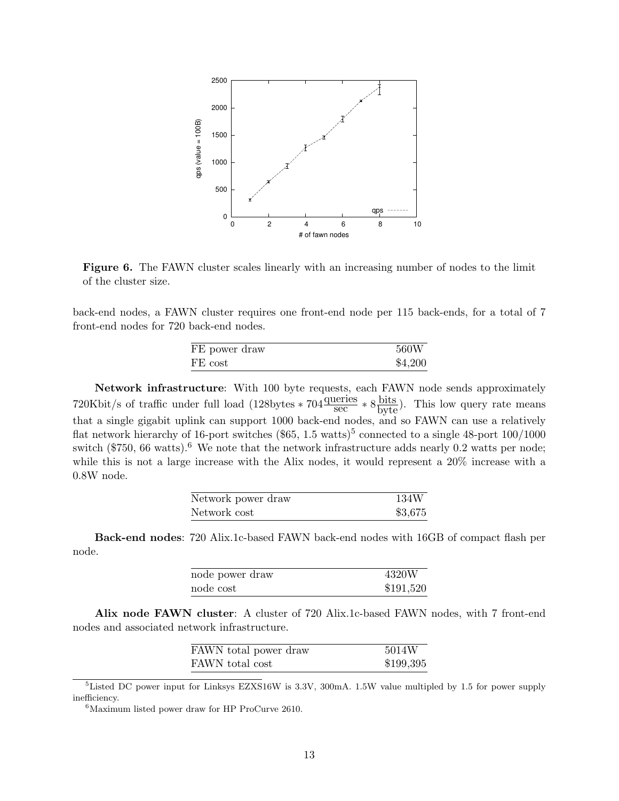

<span id="page-14-0"></span>Figure 6. The FAWN cluster scales linearly with an increasing number of nodes to the limit of the cluster size.

back-end nodes, a FAWN cluster requires one front-end node per 115 back-ends, for a total of 7 front-end nodes for 720 back-end nodes.

| FE power draw | 560W    |
|---------------|---------|
| FE cost       | \$4,200 |

Network infrastructure: With 100 byte requests, each FAWN node sends approximately 720Kbit/s of traffic under full load (128bytes \*  $704 \frac{\text{queries}}{\text{sec}} * 8 \frac{\text{bits}}{\text{byte}}$ ). This low query rate means that a single gigabit uplink can support 1000 back-end nodes, and so FAWN can use a relatively flat network hierarchy of 16-port switches  $(\$65, 1.5 \text{ watts})^5$  $(\$65, 1.5 \text{ watts})^5$  $(\$65, 1.5 \text{ watts})^5$  connected to a single 48-port 100/1000 switch (\$750, [6](#page-14-2)6 watts).<sup>6</sup> We note that the network infrastructure adds nearly 0.2 watts per node; while this is not a large increase with the Alix nodes, it would represent a 20% increase with a 0.8W node.

| Network power draw | 134W    |
|--------------------|---------|
| Network cost       | \$3,675 |

Back-end nodes: 720 Alix.1c-based FAWN back-end nodes with 16GB of compact flash per node.

| node power draw  | 4320W     |
|------------------|-----------|
| $\rm node\ cost$ | \$191,520 |

Alix node FAWN cluster: A cluster of 720 Alix.1c-based FAWN nodes, with 7 front-end nodes and associated network infrastructure.

| FAWN total power draw | 5014W     |
|-----------------------|-----------|
| FAWN total cost       | \$199,395 |

<span id="page-14-1"></span><sup>5</sup>Listed DC power input for Linksys EZXS16W is 3.3V, 300mA. 1.5W value multipled by 1.5 for power supply inefficiency.

<span id="page-14-2"></span><sup>6</sup>Maximum listed power draw for HP ProCurve 2610.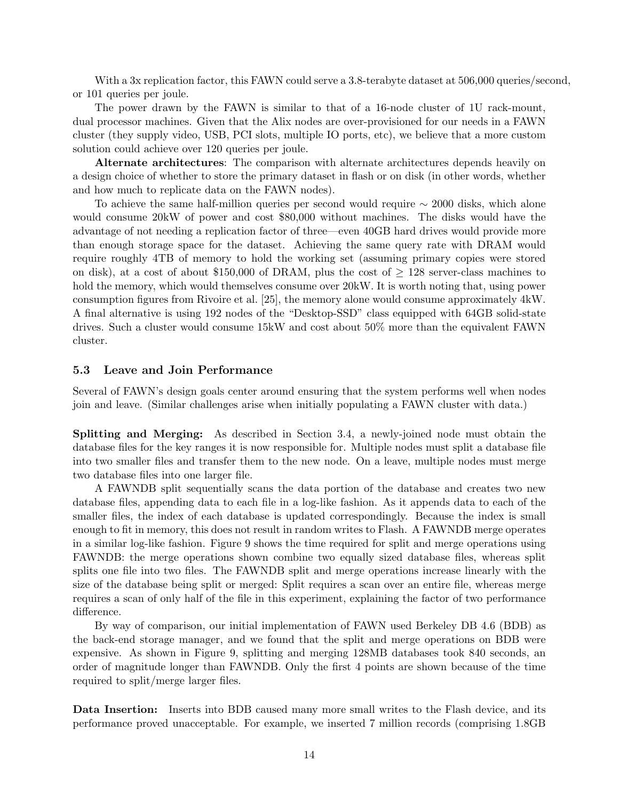With a 3x replication factor, this FAWN could serve a 3.8-terabyte dataset at 506,000 queries/second, or 101 queries per joule.

The power drawn by the FAWN is similar to that of a 16-node cluster of 1U rack-mount, dual processor machines. Given that the Alix nodes are over-provisioned for our needs in a FAWN cluster (they supply video, USB, PCI slots, multiple IO ports, etc), we believe that a more custom solution could achieve over 120 queries per joule.

Alternate architectures: The comparison with alternate architectures depends heavily on a design choice of whether to store the primary dataset in flash or on disk (in other words, whether and how much to replicate data on the FAWN nodes).

To achieve the same half-million queries per second would require ∼ 2000 disks, which alone would consume 20kW of power and cost \$80,000 without machines. The disks would have the advantage of not needing a replication factor of three—even 40GB hard drives would provide more than enough storage space for the dataset. Achieving the same query rate with DRAM would require roughly 4TB of memory to hold the working set (assuming primary copies were stored on disk), at a cost of about \$150,000 of DRAM, plus the cost of  $\geq$  128 server-class machines to hold the memory, which would themselves consume over  $20$ kW. It is worth noting that, using power consumption figures from Rivoire et al. [\[25\]](#page-21-6), the memory alone would consume approximately 4kW. A final alternative is using 192 nodes of the "Desktop-SSD" class equipped with 64GB solid-state drives. Such a cluster would consume 15kW and cost about 50% more than the equivalent FAWN cluster.

#### 5.3 Leave and Join Performance

Several of FAWN's design goals center around ensuring that the system performs well when nodes join and leave. (Similar challenges arise when initially populating a FAWN cluster with data.)

Splitting and Merging: As described in Section [3.4,](#page-8-2) a newly-joined node must obtain the database files for the key ranges it is now responsible for. Multiple nodes must split a database file into two smaller files and transfer them to the new node. On a leave, multiple nodes must merge two database files into one larger file.

A FAWNDB split sequentially scans the data portion of the database and creates two new database files, appending data to each file in a log-like fashion. As it appends data to each of the smaller files, the index of each database is updated correspondingly. Because the index is small enough to fit in memory, this does not result in random writes to Flash. A FAWNDB merge operates in a similar log-like fashion. Figure [9](#page-17-0) shows the time required for split and merge operations using FAWNDB: the merge operations shown combine two equally sized database files, whereas split splits one file into two files. The FAWNDB split and merge operations increase linearly with the size of the database being split or merged: Split requires a scan over an entire file, whereas merge requires a scan of only half of the file in this experiment, explaining the factor of two performance difference.

By way of comparison, our initial implementation of FAWN used Berkeley DB 4.6 (BDB) as the back-end storage manager, and we found that the split and merge operations on BDB were expensive. As shown in Figure [9,](#page-17-0) splitting and merging 128MB databases took 840 seconds, an order of magnitude longer than FAWNDB. Only the first 4 points are shown because of the time required to split/merge larger files.

Data Insertion: Inserts into BDB caused many more small writes to the Flash device, and its performance proved unacceptable. For example, we inserted 7 million records (comprising 1.8GB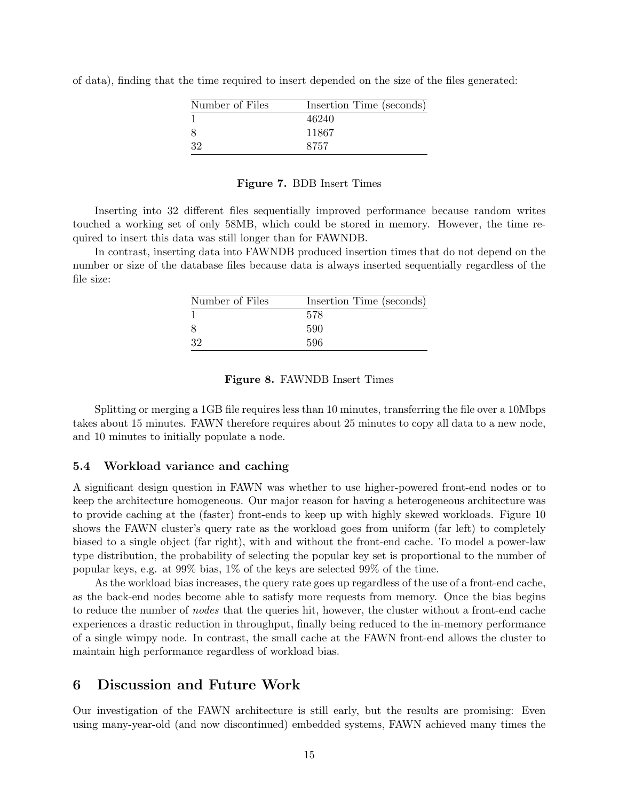| Number of Files | Insertion Time (seconds) |
|-----------------|--------------------------|
|                 | 46240                    |
| 8               | 11867                    |
| 32              | 8757                     |

of data), finding that the time required to insert depended on the size of the files generated:

#### Figure 7. BDB Insert Times

Inserting into 32 different files sequentially improved performance because random writes touched a working set of only 58MB, which could be stored in memory. However, the time required to insert this data was still longer than for FAWNDB.

In contrast, inserting data into FAWNDB produced insertion times that do not depend on the number or size of the database files because data is always inserted sequentially regardless of the file size:

| Number of Files | Insertion Time (seconds) |
|-----------------|--------------------------|
|                 | 578                      |
| 8               | 590                      |
| 32              | .596                     |

#### Figure 8. FAWNDB Insert Times

Splitting or merging a 1GB file requires less than 10 minutes, transferring the file over a 10Mbps takes about 15 minutes. FAWN therefore requires about 25 minutes to copy all data to a new node, and 10 minutes to initially populate a node.

#### <span id="page-16-0"></span>5.4 Workload variance and caching

A significant design question in FAWN was whether to use higher-powered front-end nodes or to keep the architecture homogeneous. Our major reason for having a heterogeneous architecture was to provide caching at the (faster) front-ends to keep up with highly skewed workloads. Figure [10](#page-17-1) shows the FAWN cluster's query rate as the workload goes from uniform (far left) to completely biased to a single object (far right), with and without the front-end cache. To model a power-law type distribution, the probability of selecting the popular key set is proportional to the number of popular keys, e.g. at 99% bias, 1% of the keys are selected 99% of the time.

As the workload bias increases, the query rate goes up regardless of the use of a front-end cache, as the back-end nodes become able to satisfy more requests from memory. Once the bias begins to reduce the number of *nodes* that the queries hit, however, the cluster without a front-end cache experiences a drastic reduction in throughput, finally being reduced to the in-memory performance of a single wimpy node. In contrast, the small cache at the FAWN front-end allows the cluster to maintain high performance regardless of workload bias.

### <span id="page-16-1"></span>6 Discussion and Future Work

Our investigation of the FAWN architecture is still early, but the results are promising: Even using many-year-old (and now discontinued) embedded systems, FAWN achieved many times the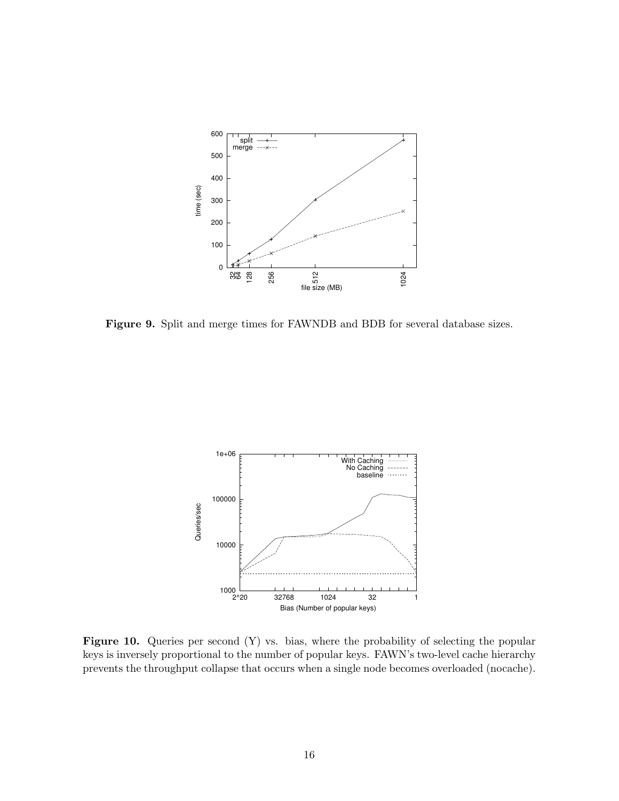

<span id="page-17-0"></span>Figure 9. Split and merge times for FAWNDB and BDB for several database sizes.



<span id="page-17-1"></span>Figure 10. Queries per second (Y) vs. bias, where the probability of selecting the popular keys is inversely proportional to the number of popular keys. FAWN's two-level cache hierarchy prevents the throughput collapse that occurs when a single node becomes overloaded (nocache).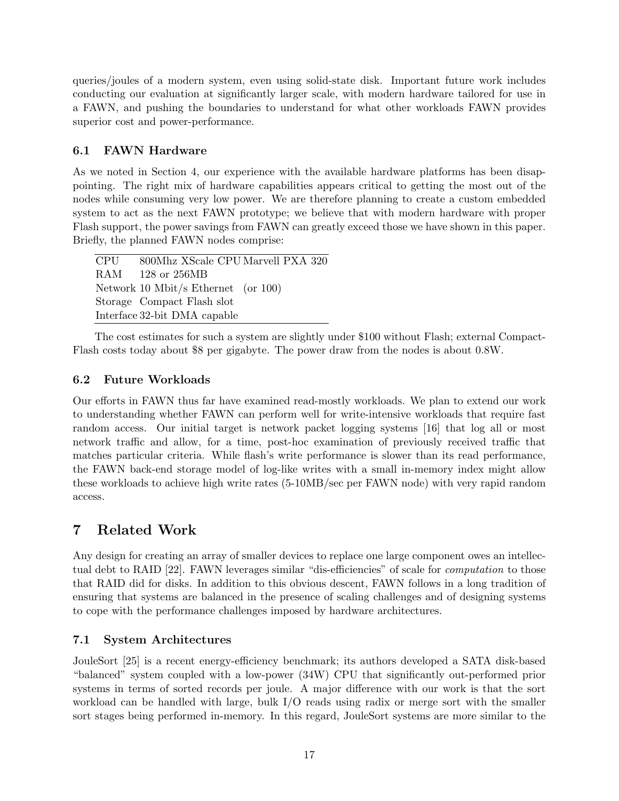queries/joules of a modern system, even using solid-state disk. Important future work includes conducting our evaluation at significantly larger scale, with modern hardware tailored for use in a FAWN, and pushing the boundaries to understand for what other workloads FAWN provides superior cost and power-performance.

# 6.1 FAWN Hardware

As we noted in Section [4,](#page-11-0) our experience with the available hardware platforms has been disappointing. The right mix of hardware capabilities appears critical to getting the most out of the nodes while consuming very low power. We are therefore planning to create a custom embedded system to act as the next FAWN prototype; we believe that with modern hardware with proper Flash support, the power savings from FAWN can greatly exceed those we have shown in this paper. Briefly, the planned FAWN nodes comprise:

| CPU 800Mhz XScale CPU Marvell PXA 320  |
|----------------------------------------|
| RAM 128 or 256MB                       |
| Network 10 Mbit/s Ethernet (or $100$ ) |
| Storage Compact Flash slot             |
| Interface 32-bit DMA capable           |

The cost estimates for such a system are slightly under \$100 without Flash; external Compact-Flash costs today about \$8 per gigabyte. The power draw from the nodes is about 0.8W.

### 6.2 Future Workloads

Our efforts in FAWN thus far have examined read-mostly workloads. We plan to extend our work to understanding whether FAWN can perform well for write-intensive workloads that require fast random access. Our initial target is network packet logging systems [\[16\]](#page-21-9) that log all or most network traffic and allow, for a time, post-hoc examination of previously received traffic that matches particular criteria. While flash's write performance is slower than its read performance, the FAWN back-end storage model of log-like writes with a small in-memory index might allow these workloads to achieve high write rates (5-10MB/sec per FAWN node) with very rapid random access.

# <span id="page-18-0"></span>7 Related Work

Any design for creating an array of smaller devices to replace one large component owes an intellectual debt to RAID [\[22\]](#page-21-10). FAWN leverages similar "dis-efficiencies" of scale for computation to those that RAID did for disks. In addition to this obvious descent, FAWN follows in a long tradition of ensuring that systems are balanced in the presence of scaling challenges and of designing systems to cope with the performance challenges imposed by hardware architectures.

# 7.1 System Architectures

JouleSort [\[25\]](#page-21-6) is a recent energy-efficiency benchmark; its authors developed a SATA disk-based "balanced" system coupled with a low-power (34W) CPU that significantly out-performed prior systems in terms of sorted records per joule. A major difference with our work is that the sort workload can be handled with large, bulk I/O reads using radix or merge sort with the smaller sort stages being performed in-memory. In this regard, JouleSort systems are more similar to the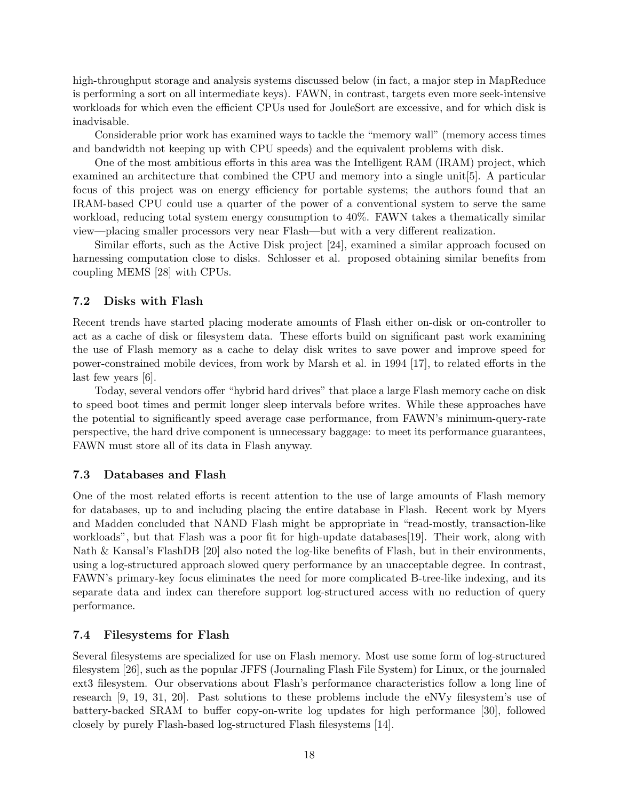high-throughput storage and analysis systems discussed below (in fact, a major step in MapReduce is performing a sort on all intermediate keys). FAWN, in contrast, targets even more seek-intensive workloads for which even the efficient CPUs used for JouleSort are excessive, and for which disk is inadvisable.

Considerable prior work has examined ways to tackle the "memory wall" (memory access times and bandwidth not keeping up with CPU speeds) and the equivalent problems with disk.

One of the most ambitious efforts in this area was the Intelligent RAM (IRAM) project, which examined an architecture that combined the CPU and memory into a single unit[\[5\]](#page-21-11). A particular focus of this project was on energy efficiency for portable systems; the authors found that an IRAM-based CPU could use a quarter of the power of a conventional system to serve the same workload, reducing total system energy consumption to 40%. FAWN takes a thematically similar view—placing smaller processors very near Flash—but with a very different realization.

Similar efforts, such as the Active Disk project [\[24\]](#page-21-12), examined a similar approach focused on harnessing computation close to disks. Schlosser et al. proposed obtaining similar benefits from coupling MEMS [\[28\]](#page-22-1) with CPUs.

#### 7.2 Disks with Flash

Recent trends have started placing moderate amounts of Flash either on-disk or on-controller to act as a cache of disk or filesystem data. These efforts build on significant past work examining the use of Flash memory as a cache to delay disk writes to save power and improve speed for power-constrained mobile devices, from work by Marsh et al. in 1994 [\[17\]](#page-21-13), to related efforts in the last few years [\[6\]](#page-21-14).

Today, several vendors offer "hybrid hard drives" that place a large Flash memory cache on disk to speed boot times and permit longer sleep intervals before writes. While these approaches have the potential to significantly speed average case performance, from FAWN's minimum-query-rate perspective, the hard drive component is unnecessary baggage: to meet its performance guarantees, FAWN must store all of its data in Flash anyway.

#### 7.3 Databases and Flash

One of the most related efforts is recent attention to the use of large amounts of Flash memory for databases, up to and including placing the entire database in Flash. Recent work by Myers and Madden concluded that NAND Flash might be appropriate in "read-mostly, transaction-like workloads", but that Flash was a poor fit for high-update databases [\[19\]](#page-21-8). Their work, along with Nath & Kansal's FlashDB [\[20\]](#page-21-7) also noted the log-like benefits of Flash, but in their environments, using a log-structured approach slowed query performance by an unacceptable degree. In contrast, FAWN's primary-key focus eliminates the need for more complicated B-tree-like indexing, and its separate data and index can therefore support log-structured access with no reduction of query performance.

#### 7.4 Filesystems for Flash

Several filesystems are specialized for use on Flash memory. Most use some form of log-structured filesystem [\[26\]](#page-22-2), such as the popular JFFS (Journaling Flash File System) for Linux, or the journaled ext3 filesystem. Our observations about Flash's performance characteristics follow a long line of research [\[9,](#page-21-15) [19,](#page-21-8) [31,](#page-22-3) [20\]](#page-21-7). Past solutions to these problems include the eNVy filesystem's use of battery-backed SRAM to buffer copy-on-write log updates for high performance [\[30\]](#page-22-4), followed closely by purely Flash-based log-structured Flash filesystems [\[14\]](#page-21-16).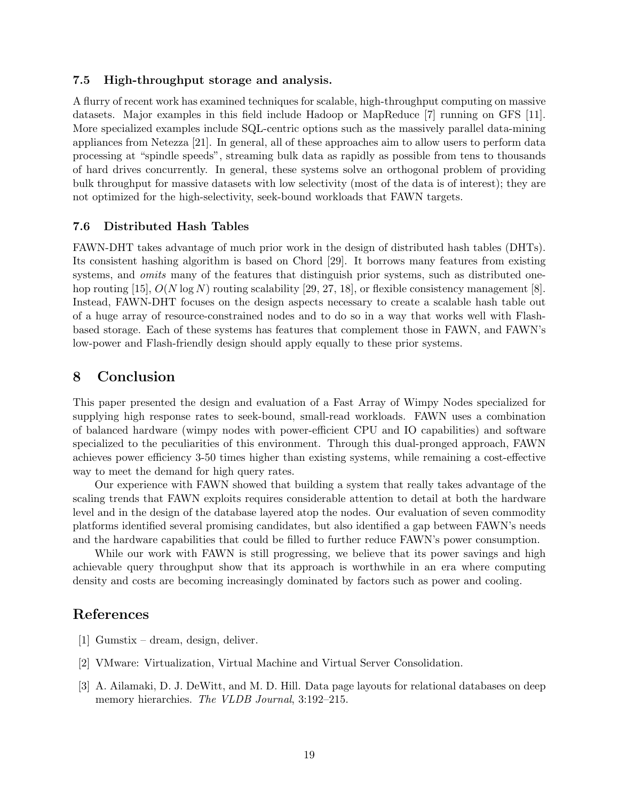#### 7.5 High-throughput storage and analysis.

A flurry of recent work has examined techniques for scalable, high-throughput computing on massive datasets. Major examples in this field include Hadoop or MapReduce [\[7\]](#page-21-17) running on GFS [\[11\]](#page-21-18). More specialized examples include SQL-centric options such as the massively parallel data-mining appliances from Netezza [\[21\]](#page-21-19). In general, all of these approaches aim to allow users to perform data processing at "spindle speeds", streaming bulk data as rapidly as possible from tens to thousands of hard drives concurrently. In general, these systems solve an orthogonal problem of providing bulk throughput for massive datasets with low selectivity (most of the data is of interest); they are not optimized for the high-selectivity, seek-bound workloads that FAWN targets.

#### 7.6 Distributed Hash Tables

FAWN-DHT takes advantage of much prior work in the design of distributed hash tables (DHTs). Its consistent hashing algorithm is based on Chord [\[29\]](#page-22-0). It borrows many features from existing systems, and *omits* many of the features that distinguish prior systems, such as distributed one-hop routing [\[15\]](#page-21-20),  $O(N \log N)$  routing scalability [\[29,](#page-22-0) [27,](#page-22-5) [18\]](#page-21-21), or flexible consistency management [\[8\]](#page-21-5). Instead, FAWN-DHT focuses on the design aspects necessary to create a scalable hash table out of a huge array of resource-constrained nodes and to do so in a way that works well with Flashbased storage. Each of these systems has features that complement those in FAWN, and FAWN's low-power and Flash-friendly design should apply equally to these prior systems.

### 8 Conclusion

This paper presented the design and evaluation of a Fast Array of Wimpy Nodes specialized for supplying high response rates to seek-bound, small-read workloads. FAWN uses a combination of balanced hardware (wimpy nodes with power-efficient CPU and IO capabilities) and software specialized to the peculiarities of this environment. Through this dual-pronged approach, FAWN achieves power efficiency 3-50 times higher than existing systems, while remaining a cost-effective way to meet the demand for high query rates.

Our experience with FAWN showed that building a system that really takes advantage of the scaling trends that FAWN exploits requires considerable attention to detail at both the hardware level and in the design of the database layered atop the nodes. Our evaluation of seven commodity platforms identified several promising candidates, but also identified a gap between FAWN's needs and the hardware capabilities that could be filled to further reduce FAWN's power consumption.

While our work with FAWN is still progressing, we believe that its power savings and high achievable query throughput show that its approach is worthwhile in an era where computing density and costs are becoming increasingly dominated by factors such as power and cooling.

# References

- <span id="page-20-2"></span>[1] Gumstix – dream, design, deliver.
- <span id="page-20-0"></span>[2] VMware: Virtualization, Virtual Machine and Virtual Server Consolidation.
- <span id="page-20-1"></span>[3] A. Ailamaki, D. J. DeWitt, and M. D. Hill. Data page layouts for relational databases on deep memory hierarchies. The VLDB Journal, 3:192–215.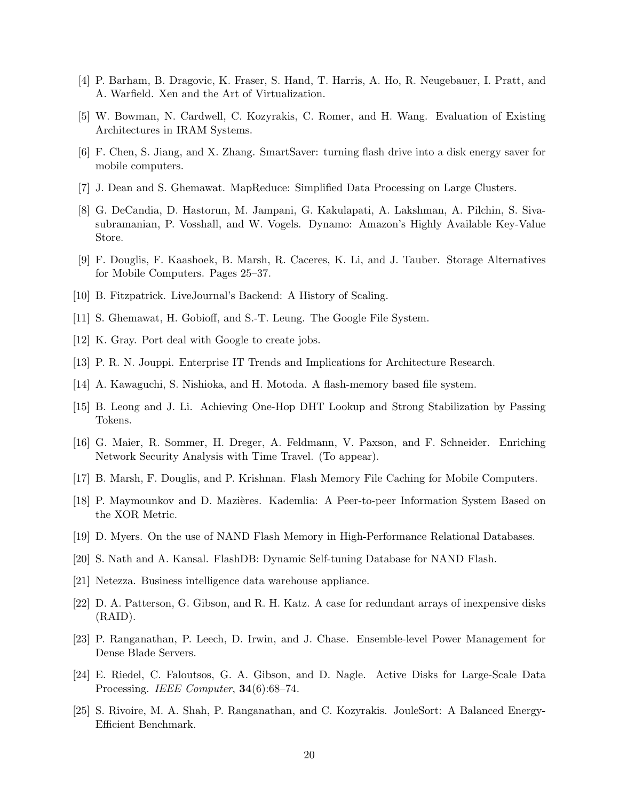- <span id="page-21-3"></span>[4] P. Barham, B. Dragovic, K. Fraser, S. Hand, T. Harris, A. Ho, R. Neugebauer, I. Pratt, and A. Warfield. Xen and the Art of Virtualization.
- <span id="page-21-11"></span>[5] W. Bowman, N. Cardwell, C. Kozyrakis, C. Romer, and H. Wang. Evaluation of Existing Architectures in IRAM Systems.
- <span id="page-21-14"></span>[6] F. Chen, S. Jiang, and X. Zhang. SmartSaver: turning flash drive into a disk energy saver for mobile computers.
- <span id="page-21-17"></span>[7] J. Dean and S. Ghemawat. MapReduce: Simplified Data Processing on Large Clusters.
- <span id="page-21-5"></span>[8] G. DeCandia, D. Hastorun, M. Jampani, G. Kakulapati, A. Lakshman, A. Pilchin, S. Sivasubramanian, P. Vosshall, and W. Vogels. Dynamo: Amazon's Highly Available Key-Value Store.
- <span id="page-21-15"></span>[9] F. Douglis, F. Kaashoek, B. Marsh, R. Caceres, K. Li, and J. Tauber. Storage Alternatives for Mobile Computers. Pages 25–37.
- <span id="page-21-4"></span>[10] B. Fitzpatrick. LiveJournal's Backend: A History of Scaling.
- <span id="page-21-18"></span>[11] S. Ghemawat, H. Gobioff, and S.-T. Leung. The Google File System.
- <span id="page-21-0"></span>[12] K. Gray. Port deal with Google to create jobs.
- <span id="page-21-2"></span>[13] P. R. N. Jouppi. Enterprise IT Trends and Implications for Architecture Research.
- <span id="page-21-16"></span>[14] A. Kawaguchi, S. Nishioka, and H. Motoda. A flash-memory based file system.
- <span id="page-21-20"></span>[15] B. Leong and J. Li. Achieving One-Hop DHT Lookup and Strong Stabilization by Passing Tokens.
- <span id="page-21-9"></span>[16] G. Maier, R. Sommer, H. Dreger, A. Feldmann, V. Paxson, and F. Schneider. Enriching Network Security Analysis with Time Travel. (To appear).
- <span id="page-21-13"></span>[17] B. Marsh, F. Douglis, and P. Krishnan. Flash Memory File Caching for Mobile Computers.
- <span id="page-21-21"></span>[18] P. Maymounkov and D. Mazières. Kademlia: A Peer-to-peer Information System Based on the XOR Metric.
- <span id="page-21-8"></span>[19] D. Myers. On the use of NAND Flash Memory in High-Performance Relational Databases.
- <span id="page-21-7"></span>[20] S. Nath and A. Kansal. FlashDB: Dynamic Self-tuning Database for NAND Flash.
- <span id="page-21-19"></span>[21] Netezza. Business intelligence data warehouse appliance.
- <span id="page-21-10"></span>[22] D. A. Patterson, G. Gibson, and R. H. Katz. A case for redundant arrays of inexpensive disks (RAID).
- <span id="page-21-1"></span>[23] P. Ranganathan, P. Leech, D. Irwin, and J. Chase. Ensemble-level Power Management for Dense Blade Servers.
- <span id="page-21-12"></span>[24] E. Riedel, C. Faloutsos, G. A. Gibson, and D. Nagle. Active Disks for Large-Scale Data Processing. IEEE Computer, 34(6):68-74.
- <span id="page-21-6"></span>[25] S. Rivoire, M. A. Shah, P. Ranganathan, and C. Kozyrakis. JouleSort: A Balanced Energy-Efficient Benchmark.